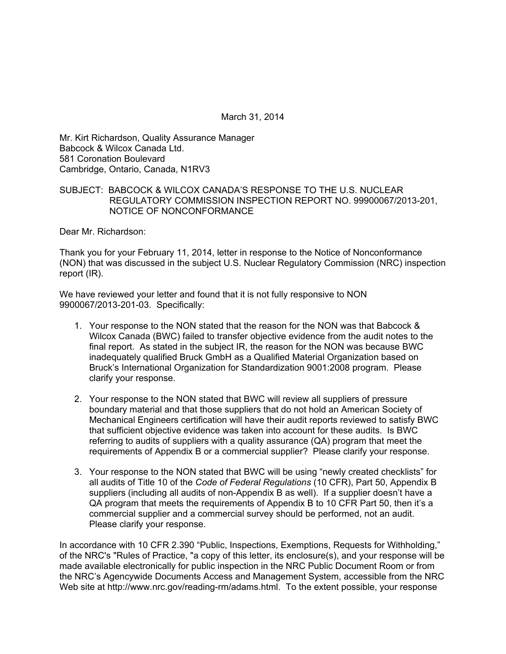March 31, 2014

Mr. Kirt Richardson, Quality Assurance Manager Babcock & Wilcox Canada Ltd. 581 Coronation Boulevard Cambridge, Ontario, Canada, N1RV3

# SUBJECT: BABCOCK & WILCOX CANADA'S RESPONSE TO THE U.S. NUCLEAR REGULATORY COMMISSION INSPECTION REPORT NO. 99900067/2013-201, NOTICE OF NONCONFORMANCE

Dear Mr. Richardson:

Thank you for your February 11, 2014, letter in response to the Notice of Nonconformance (NON) that was discussed in the subject U.S. Nuclear Regulatory Commission (NRC) inspection report (IR).

We have reviewed your letter and found that it is not fully responsive to NON 9900067/2013-201-03. Specifically:

- 1. Your response to the NON stated that the reason for the NON was that Babcock & Wilcox Canada (BWC) failed to transfer objective evidence from the audit notes to the final report. As stated in the subject IR, the reason for the NON was because BWC inadequately qualified Bruck GmbH as a Qualified Material Organization based on Bruck's International Organization for Standardization 9001:2008 program. Please clarify your response.
- 2. Your response to the NON stated that BWC will review all suppliers of pressure boundary material and that those suppliers that do not hold an American Society of Mechanical Engineers certification will have their audit reports reviewed to satisfy BWC that sufficient objective evidence was taken into account for these audits. Is BWC referring to audits of suppliers with a quality assurance (QA) program that meet the requirements of Appendix B or a commercial supplier? Please clarify your response.
- 3. Your response to the NON stated that BWC will be using "newly created checklists" for all audits of Title 10 of the *Code of Federal Regulations* (10 CFR), Part 50, Appendix B suppliers (including all audits of non-Appendix B as well). If a supplier doesn't have a QA program that meets the requirements of Appendix B to 10 CFR Part 50, then it's a commercial supplier and a commercial survey should be performed, not an audit. Please clarify your response.

In accordance with 10 CFR 2.390 "Public, Inspections, Exemptions, Requests for Withholding," of the NRC's "Rules of Practice, "a copy of this letter, its enclosure(s), and your response will be made available electronically for public inspection in the NRC Public Document Room or from the NRC's Agencywide Documents Access and Management System, accessible from the NRC Web site at http://www.nrc.gov/reading-rm/adams.html. To the extent possible, your response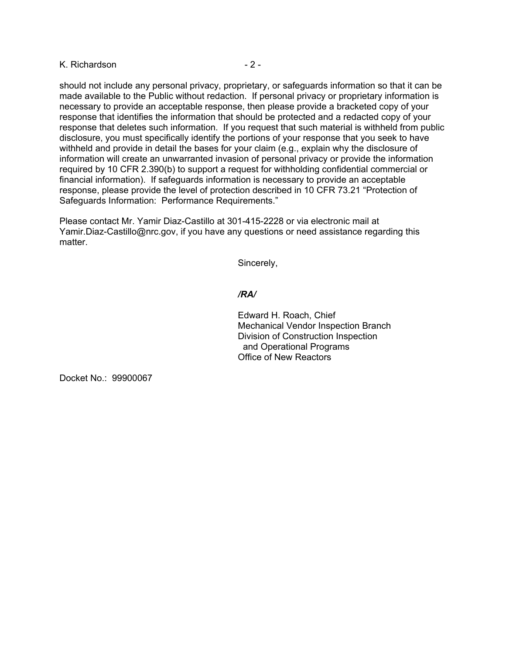# K. Richardson **- 2 -** 2 -

should not include any personal privacy, proprietary, or safeguards information so that it can be made available to the Public without redaction. If personal privacy or proprietary information is necessary to provide an acceptable response, then please provide a bracketed copy of your response that identifies the information that should be protected and a redacted copy of your response that deletes such information. If you request that such material is withheld from public disclosure, you must specifically identify the portions of your response that you seek to have withheld and provide in detail the bases for your claim (e.g., explain why the disclosure of information will create an unwarranted invasion of personal privacy or provide the information required by 10 CFR 2.390(b) to support a request for withholding confidential commercial or financial information). If safeguards information is necessary to provide an acceptable response, please provide the level of protection described in 10 CFR 73.21 "Protection of Safeguards Information: Performance Requirements."

Please contact Mr. Yamir Diaz-Castillo at 301-415-2228 or via electronic mail at Yamir.Diaz-Castillo@nrc.gov, if you have any questions or need assistance regarding this matter.

Sincerely,

### */RA/*

Edward H. Roach, Chief Mechanical Vendor Inspection Branch Division of Construction Inspection and Operational Programs Office of New Reactors

Docket No.: 99900067